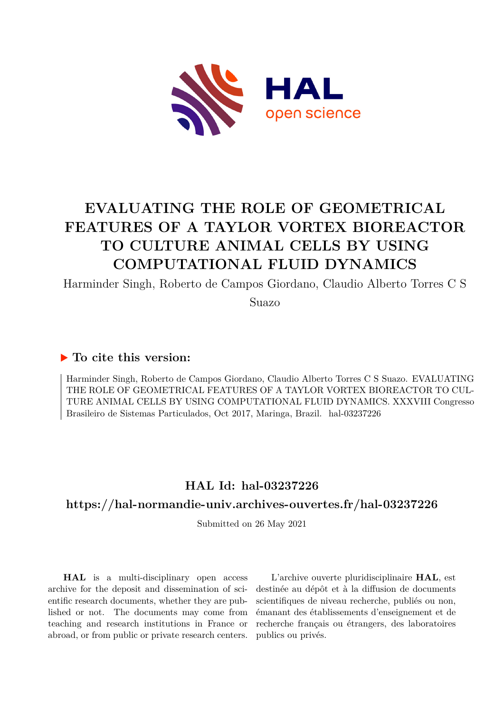

# **EVALUATING THE ROLE OF GEOMETRICAL FEATURES OF A TAYLOR VORTEX BIOREACTOR TO CULTURE ANIMAL CELLS BY USING COMPUTATIONAL FLUID DYNAMICS**

Harminder Singh, Roberto de Campos Giordano, Claudio Alberto Torres C S

Suazo

# **To cite this version:**

Harminder Singh, Roberto de Campos Giordano, Claudio Alberto Torres C S Suazo. EVALUATING THE ROLE OF GEOMETRICAL FEATURES OF A TAYLOR VORTEX BIOREACTOR TO CUL-TURE ANIMAL CELLS BY USING COMPUTATIONAL FLUID DYNAMICS. XXXVIII Congresso Brasileiro de Sistemas Particulados, Oct 2017, Maringa, Brazil. hal-03237226

# **HAL Id: hal-03237226**

# **<https://hal-normandie-univ.archives-ouvertes.fr/hal-03237226>**

Submitted on 26 May 2021

**HAL** is a multi-disciplinary open access archive for the deposit and dissemination of scientific research documents, whether they are published or not. The documents may come from teaching and research institutions in France or abroad, or from public or private research centers.

L'archive ouverte pluridisciplinaire **HAL**, est destinée au dépôt et à la diffusion de documents scientifiques de niveau recherche, publiés ou non, émanant des établissements d'enseignement et de recherche français ou étrangers, des laboratoires publics ou privés.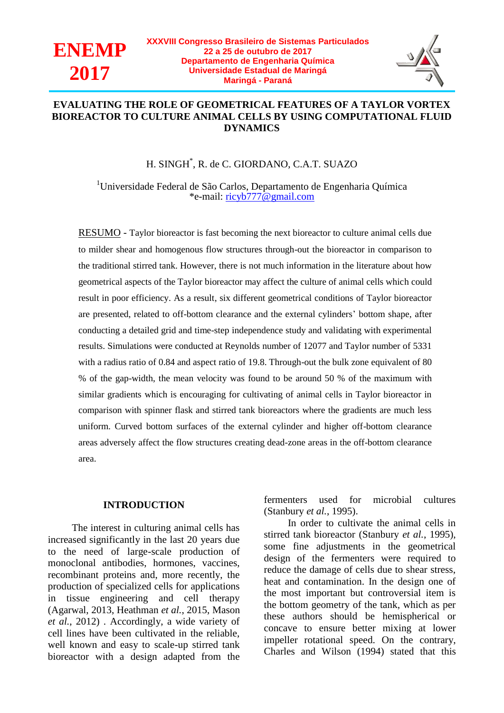



## **EVALUATING THE ROLE OF GEOMETRICAL FEATURES OF A TAYLOR VORTEX BIOREACTOR TO CULTURE ANIMAL CELLS BY USING COMPUTATIONAL FLUID DYNAMICS**

## H. SINGH\* , R. de C. GIORDANO, C.A.T. SUAZO

<sup>1</sup>Universidade Federal de São Carlos, Departamento de Engenharia Química \*e-mail: [ricyb777@gmail.com](mailto:ricyb777@gmail.com)

RESUMO - Taylor bioreactor is fast becoming the next bioreactor to culture animal cells due to milder shear and homogenous flow structures through-out the bioreactor in comparison to the traditional stirred tank. However, there is not much information in the literature about how geometrical aspects of the Taylor bioreactor may affect the culture of animal cells which could result in poor efficiency. As a result, six different geometrical conditions of Taylor bioreactor are presented, related to off-bottom clearance and the external cylinders' bottom shape, after conducting a detailed grid and time-step independence study and validating with experimental results. Simulations were conducted at Reynolds number of 12077 and Taylor number of 5331 with a radius ratio of 0.84 and aspect ratio of 19.8. Through-out the bulk zone equivalent of 80 % of the gap-width, the mean velocity was found to be around 50 % of the maximum with similar gradients which is encouraging for cultivating of animal cells in Taylor bioreactor in comparison with spinner flask and stirred tank bioreactors where the gradients are much less uniform. Curved bottom surfaces of the external cylinder and higher off-bottom clearance areas adversely affect the flow structures creating dead-zone areas in the off-bottom clearance area.

### **INTRODUCTION**

The interest in culturing animal cells has increased significantly in the last 20 years due to the need of large-scale production of monoclonal antibodies, hormones, vaccines, recombinant proteins and, more recently, the production of specialized cells for applications in tissue engineering and cell therapy (Agarwal, 2013, Heathman *et al.*, 2015, Mason *et al.*, 2012) . Accordingly, a wide variety of cell lines have been cultivated in the reliable, well known and easy to scale-up stirred tank bioreactor with a design adapted from the

fermenters used for microbial cultures (Stanbury *et al.*, 1995).

In order to cultivate the animal cells in stirred tank bioreactor (Stanbury *et al.*, 1995), some fine adjustments in the geometrical design of the fermenters were required to reduce the damage of cells due to shear stress, heat and contamination. In the design one of the most important but controversial item is the bottom geometry of the tank, which as per these authors should be hemispherical or concave to ensure better mixing at lower impeller rotational speed. On the contrary, Charles and Wilson (1994) stated that this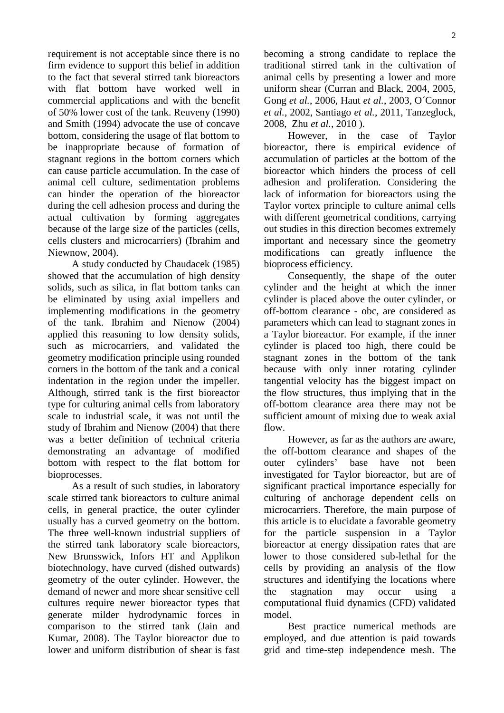requirement is not acceptable since there is no firm evidence to support this belief in addition to the fact that several stirred tank bioreactors with flat bottom have worked well in commercial applications and with the benefit of 50% lower cost of the tank. Reuveny (1990) and Smith (1994) advocate the use of concave bottom, considering the usage of flat bottom to be inappropriate because of formation of stagnant regions in the bottom corners which can cause particle accumulation. In the case of animal cell culture, sedimentation problems can hinder the operation of the bioreactor during the cell adhesion process and during the actual cultivation by forming aggregates because of the large size of the particles (cells, cells clusters and microcarriers) (Ibrahim and Niewnow, 2004).

A study conducted by Chaudacek (1985) showed that the accumulation of high density solids, such as silica, in flat bottom tanks can be eliminated by using axial impellers and implementing modifications in the geometry of the tank. Ibrahim and Nienow (2004) applied this reasoning to low density solids, such as microcarriers, and validated the geometry modification principle using rounded corners in the bottom of the tank and a conical indentation in the region under the impeller. Although, stirred tank is the first bioreactor type for culturing animal cells from laboratory scale to industrial scale, it was not until the study of Ibrahim and Nienow (2004) that there was a better definition of technical criteria demonstrating an advantage of modified bottom with respect to the flat bottom for bioprocesses.

As a result of such studies, in laboratory scale stirred tank bioreactors to culture animal cells, in general practice, the outer cylinder usually has a curved geometry on the bottom. The three well-known industrial suppliers of the stirred tank laboratory scale bioreactors, New Brunsswick, Infors HT and Applikon biotechnology, have curved (dished outwards) geometry of the outer cylinder. However, the demand of newer and more shear sensitive cell cultures require newer bioreactor types that generate milder hydrodynamic forces in comparison to the stirred tank (Jain and Kumar, 2008). The Taylor bioreactor due to lower and uniform distribution of shear is fast becoming a strong candidate to replace the traditional stirred tank in the cultivation of animal cells by presenting a lower and more uniform shear (Curran and Black, 2004, 2005, Gong *et al.*, 2006, Haut *et al.*, 2003, O´Connor *et al.*, 2002, Santiago *et al.*, 2011, Tanzeglock, 2008, Zhu *et al.*, 2010 ).

However, in the case of Taylor bioreactor, there is empirical evidence of accumulation of particles at the bottom of the bioreactor which hinders the process of cell adhesion and proliferation. Considering the lack of information for bioreactors using the Taylor vortex principle to culture animal cells with different geometrical conditions, carrying out studies in this direction becomes extremely important and necessary since the geometry modifications can greatly influence the bioprocess efficiency.

Consequently, the shape of the outer cylinder and the height at which the inner cylinder is placed above the outer cylinder, or off-bottom clearance - obc, are considered as parameters which can lead to stagnant zones in a Taylor bioreactor. For example, if the inner cylinder is placed too high, there could be stagnant zones in the bottom of the tank because with only inner rotating cylinder tangential velocity has the biggest impact on the flow structures, thus implying that in the off-bottom clearance area there may not be sufficient amount of mixing due to weak axial flow.

However, as far as the authors are aware, the off-bottom clearance and shapes of the outer cylinders' base have not been investigated for Taylor bioreactor, but are of significant practical importance especially for culturing of anchorage dependent cells on microcarriers. Therefore, the main purpose of this article is to elucidate a favorable geometry for the particle suspension in a Taylor bioreactor at energy dissipation rates that are lower to those considered sub-lethal for the cells by providing an analysis of the flow structures and identifying the locations where the stagnation may occur using a computational fluid dynamics (CFD) validated model.

Best practice numerical methods are employed, and due attention is paid towards grid and time-step independence mesh. The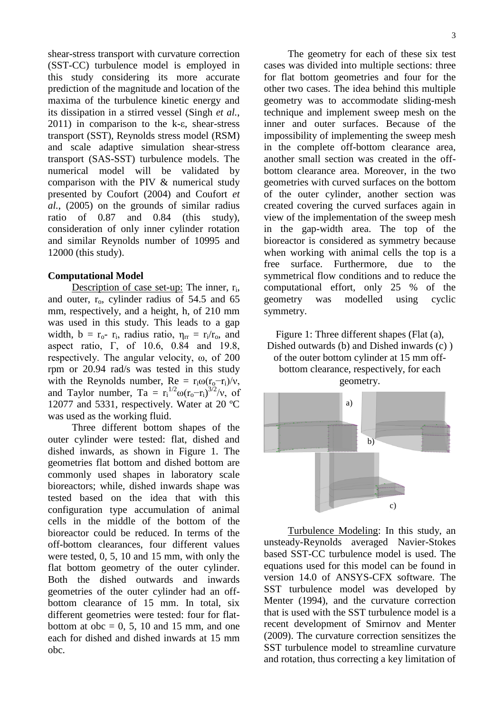shear-stress transport with curvature correction (SST-CC) turbulence model is employed in this study considering its more accurate prediction of the magnitude and location of the maxima of the turbulence kinetic energy and its dissipation in a stirred vessel (Singh *et al.*, 2011) in comparison to the k-ε, shear-stress transport (SST), Reynolds stress model (RSM) and scale adaptive simulation shear-stress transport (SAS-SST) turbulence models. The numerical model will be validated by comparison with the PIV & numerical study presented by Coufort (2004) and Coufort *et al.*, (2005) on the grounds of similar radius ratio of 0.87 and 0.84 (this study), consideration of only inner cylinder rotation and similar Reynolds number of 10995 and 12000 (this study).

## **Computational Model**

Description of case set-up: The inner, r<sub>i</sub>, and outer,  $r_0$ , cylinder radius of 54.5 and 65 mm, respectively, and a height, h, of 210 mm was used in this study. This leads to a gap width,  $b = r_0$ -  $r_i$ , radius ratio,  $\eta_{rr} = r_i/r_0$ , and aspect ratio, Γ, of 10.6, 0.84 and 19.8, respectively. The angular velocity, ω, of 200 rpm or 20.94 rad/s was tested in this study with the Reynolds number,  $Re = r_i \omega (r_o - r_i)/v$ , and Taylor number, Ta =  $r_i^{1/2} \omega (r_o - r_i)^{3/2}/v$ , of 12077 and 5331, respectively. Water at 20 ºC was used as the working fluid.

Three different bottom shapes of the outer cylinder were tested: flat, dished and dished inwards, as shown in Figure 1. The geometries flat bottom and dished bottom are commonly used shapes in laboratory scale bioreactors; while, dished inwards shape was tested based on the idea that with this configuration type accumulation of animal cells in the middle of the bottom of the bioreactor could be reduced. In terms of the off-bottom clearances, four different values were tested, 0, 5, 10 and 15 mm, with only the flat bottom geometry of the outer cylinder. Both the dished outwards and inwards geometries of the outer cylinder had an offbottom clearance of 15 mm. In total, six different geometries were tested: four for flatbottom at  $obe = 0, 5, 10$  and 15 mm, and one each for dished and dished inwards at 15 mm obc.

The geometry for each of these six test cases was divided into multiple sections: three for flat bottom geometries and four for the other two cases. The idea behind this multiple geometry was to accommodate sliding-mesh technique and implement sweep mesh on the inner and outer surfaces. Because of the impossibility of implementing the sweep mesh in the complete off-bottom clearance area, another small section was created in the offbottom clearance area. Moreover, in the two geometries with curved surfaces on the bottom of the outer cylinder, another section was created covering the curved surfaces again in view of the implementation of the sweep mesh in the gap-width area. The top of the bioreactor is considered as symmetry because when working with animal cells the top is a free surface. Furthermore, due to the symmetrical flow conditions and to reduce the computational effort, only 25 % of the geometry was modelled using cyclic symmetry.

Figure 1: Three different shapes (Flat (a), Dished outwards (b) and Dished inwards (c) ) of the outer bottom cylinder at 15 mm offbottom clearance, respectively, for each geometry.



Turbulence Modeling: In this study, an unsteady-Reynolds averaged Navier-Stokes based SST-CC turbulence model is used. The equations used for this model can be found in version 14.0 of ANSYS-CFX software. The SST turbulence model was developed by Menter (1994), and the curvature correction that is used with the SST turbulence model is a recent development of Smirnov and Menter (2009). The curvature correction sensitizes the SST turbulence model to streamline curvature and rotation, thus correcting a key limitation of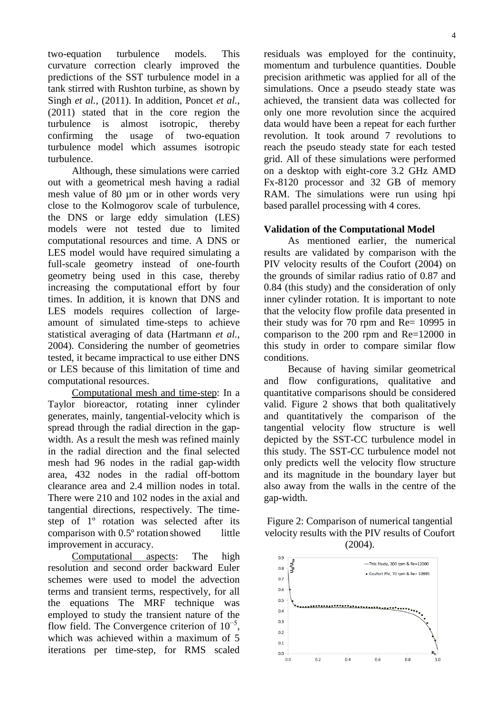two-equation turbulence models. This curvature correction clearly improved the predictions of the SST turbulence model in a tank stirred with Rushton turbine, as shown by Singh *et al.*, (2011). In addition, Poncet *et al.*, (2011) stated that in the core region the turbulence is almost isotropic, thereby confirming the usage of two-equation turbulence model which assumes isotropic turbulence.

Although, these simulations were carried out with a geometrical mesh having a radial mesh value of 80 µm or in other words very close to the Kolmogorov scale of turbulence, the DNS or large eddy simulation (LES) models were not tested due to limited computational resources and time. A DNS or LES model would have required simulating a full-scale geometry instead of one-fourth geometry being used in this case, thereby increasing the computational effort by four times. In addition, it is known that DNS and LES models requires collection of largeamount of simulated time-steps to achieve statistical averaging of data (Hartmann *et al.*, 2004). Considering the number of geometries tested, it became impractical to use either DNS or LES because of this limitation of time and computational resources.

Computational mesh and time-step: In a Taylor bioreactor, rotating inner cylinder generates, mainly, tangential-velocity which is spread through the radial direction in the gapwidth. As a result the mesh was refined mainly in the radial direction and the final selected mesh had 96 nodes in the radial gap-width area, 432 nodes in the radial off-bottom clearance area and 2.4 million nodes in total. There were 210 and 102 nodes in the axial and tangential directions, respectively. The timestep of 1º rotation was selected after its comparison with 0.5º rotation showed little improvement in accuracy.

Computational aspects: The high resolution and second order backward Euler schemes were used to model the advection terms and transient terms, respectively, for all the equations The MRF technique was employed to study the transient nature of the flow field. The Convergence criterion of  $10^{-5}$ , which was achieved within a maximum of 5 iterations per time-step, for RMS scaled

residuals was employed for the continuity, momentum and turbulence quantities. Double precision arithmetic was applied for all of the simulations. Once a pseudo steady state was achieved, the transient data was collected for only one more revolution since the acquired data would have been a repeat for each further revolution. It took around 7 revolutions to reach the pseudo steady state for each tested grid. All of these simulations were performed on a desktop with eight-core 3.2 GHz AMD Fx-8120 processor and 32 GB of memory RAM. The simulations were run using hpi based parallel processing with 4 cores.

## **Validation of the Computational Model**

As mentioned earlier, the numerical results are validated by comparison with the PIV velocity results of the Coufort (2004) on the grounds of similar radius ratio of 0.87 and 0.84 (this study) and the consideration of only inner cylinder rotation. It is important to note that the velocity flow profile data presented in their study was for 70 rpm and Re= 10995 in comparison to the 200 rpm and Re=12000 in this study in order to compare similar flow conditions.

Because of having similar geometrical and flow configurations, qualitative and quantitative comparisons should be considered valid. Figure 2 shows that both qualitatively and quantitatively the comparison of the tangential velocity flow structure is well depicted by the SST-CC turbulence model in this study. The SST-CC turbulence model not only predicts well the velocity flow structure and its magnitude in the boundary layer but also away from the walls in the centre of the gap-width.



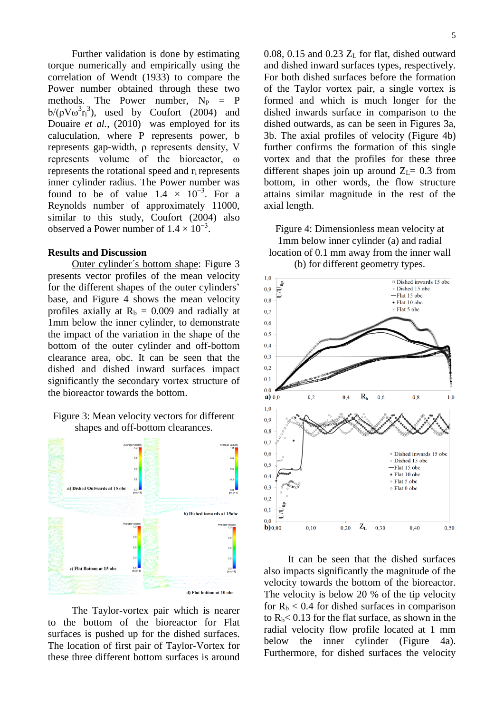Further validation is done by estimating torque numerically and empirically using the correlation of Wendt (1933) to compare the Power number obtained through these two methods. The Power number,  $N_P = P$ b/ $(pV\omega^3 r_i^3)$ , used by Coufort (2004) and Douaire *et al.*, (2010) was employed for its caluculation, where P represents power, b represents gap-width, ρ represents density, V represents volume of the bioreactor, ω represents the rotational speed and r<sub>i</sub> represents inner cylinder radius. The Power number was found to be of value  $1.4 \times 10^{-3}$ . For a Reynolds number of approximately 11000, similar to this study, Coufort (2004) also observed a Power number of  $1.4 \times 10^{-3}$ .

#### **Results and Discussion**

Outer cylinder´s bottom shape: Figure 3 presents vector profiles of the mean velocity for the different shapes of the outer cylinders' base, and Figure 4 shows the mean velocity profiles axially at  $R_b = 0.009$  and radially at 1mm below the inner cylinder, to demonstrate the impact of the variation in the shape of the bottom of the outer cylinder and off-bottom clearance area, obc. It can be seen that the dished and dished inward surfaces impact significantly the secondary vortex structure of the bioreactor towards the bottom.

#### Figure 3: Mean velocity vectors for different shapes and off-bottom clearances.



The Taylor-vortex pair which is nearer to the bottom of the bioreactor for Flat surfaces is pushed up for the dished surfaces. The location of first pair of Taylor-Vortex for these three different bottom surfaces is around 0.08, 0.15 and 0.23  $Z_L$  for flat, dished outward and dished inward surfaces types, respectively. For both dished surfaces before the formation of the Taylor vortex pair, a single vortex is formed and which is much longer for the dished inwards surface in comparison to the dished outwards, as can be seen in Figures 3a, 3b. The axial profiles of velocity (Figure 4b) further confirms the formation of this single vortex and that the profiles for these three different shapes join up around  $Z_L$ = 0.3 from bottom, in other words, the flow structure attains similar magnitude in the rest of the axial length.

Figure 4: Dimensionless mean velocity at 1mm below inner cylinder (a) and radial location of 0.1 mm away from the inner wall (b) for different geometry types.



It can be seen that the dished surfaces also impacts significantly the magnitude of the velocity towards the bottom of the bioreactor. The velocity is below 20 % of the tip velocity for  $R_b < 0.4$  for dished surfaces in comparison to  $R_b$ < 0.13 for the flat surface, as shown in the radial velocity flow profile located at 1 mm below the inner cylinder (Figure 4a). Furthermore, for dished surfaces the velocity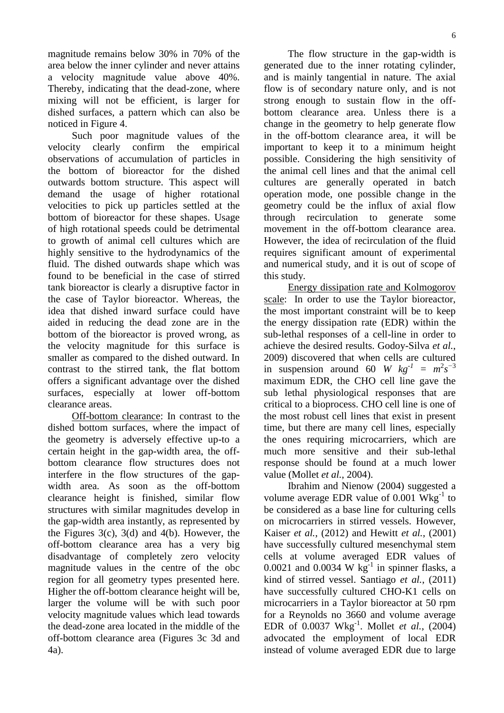magnitude remains below 30% in 70% of the area below the inner cylinder and never attains a velocity magnitude value above 40%. Thereby, indicating that the dead-zone, where mixing will not be efficient, is larger for dished surfaces, a pattern which can also be noticed in Figure 4.

Such poor magnitude values of the velocity clearly confirm the empirical observations of accumulation of particles in the bottom of bioreactor for the dished outwards bottom structure. This aspect will demand the usage of higher rotational velocities to pick up particles settled at the bottom of bioreactor for these shapes. Usage of high rotational speeds could be detrimental to growth of animal cell cultures which are highly sensitive to the hydrodynamics of the fluid. The dished outwards shape which was found to be beneficial in the case of stirred tank bioreactor is clearly a disruptive factor in the case of Taylor bioreactor. Whereas, the idea that dished inward surface could have aided in reducing the dead zone are in the bottom of the bioreactor is proved wrong, as the velocity magnitude for this surface is smaller as compared to the dished outward. In contrast to the stirred tank, the flat bottom offers a significant advantage over the dished surfaces, especially at lower off-bottom clearance areas.

Off-bottom clearance: In contrast to the dished bottom surfaces, where the impact of the geometry is adversely effective up-to a certain height in the gap-width area, the offbottom clearance flow structures does not interfere in the flow structures of the gapwidth area. As soon as the off-bottom clearance height is finished, similar flow structures with similar magnitudes develop in the gap-width area instantly, as represented by the Figures 3(c), 3(d) and 4(b). However, the off-bottom clearance area has a very big disadvantage of completely zero velocity magnitude values in the centre of the obc region for all geometry types presented here. Higher the off-bottom clearance height will be, larger the volume will be with such poor velocity magnitude values which lead towards the dead-zone area located in the middle of the off-bottom clearance area (Figures 3c 3d and 4a).

The flow structure in the gap-width is generated due to the inner rotating cylinder, and is mainly tangential in nature. The axial flow is of secondary nature only, and is not strong enough to sustain flow in the offbottom clearance area. Unless there is a change in the geometry to help generate flow in the off-bottom clearance area, it will be important to keep it to a minimum height possible. Considering the high sensitivity of the animal cell lines and that the animal cell cultures are generally operated in batch operation mode, one possible change in the geometry could be the influx of axial flow through recirculation to generate some movement in the off-bottom clearance area. However, the idea of recirculation of the fluid requires significant amount of experimental and numerical study, and it is out of scope of this study.

Energy dissipation rate and Kolmogorov scale: In order to use the Taylor bioreactor, the most important constraint will be to keep the energy dissipation rate (EDR) within the sub-lethal responses of a cell-line in order to achieve the desired results. Godoy-Silva *et al.*, 2009) discovered that when cells are cultured in suspension around 60 *W*  $kg^{-1} = m^2 s^{-3}$ maximum EDR, the CHO cell line gave the sub lethal physiological responses that are critical to a bioprocess. CHO cell line is one of the most robust cell lines that exist in present time, but there are many cell lines, especially the ones requiring microcarriers, which are much more sensitive and their sub-lethal response should be found at a much lower value (Mollet *et al.*, 2004).

Ibrahim and Nienow (2004) suggested a volume average EDR value of  $0.001$  Wkg<sup>-1</sup> to be considered as a base line for culturing cells on microcarriers in stirred vessels. However, Kaiser *et al.*, (2012) and Hewitt *et al.*, (2001) have successfully cultured mesenchymal stem cells at volume averaged EDR values of  $0.0021$  and  $0.0034$  W kg<sup>-1</sup> in spinner flasks, a kind of stirred vessel. Santiago *et al.*, (2011) have successfully cultured CHO-K1 cells on microcarriers in a Taylor bioreactor at 50 rpm for a Reynolds no 3660 and volume average EDR of 0.0037 Wkg-1 . Mollet *et al.*, (2004) advocated the employment of local EDR instead of volume averaged EDR due to large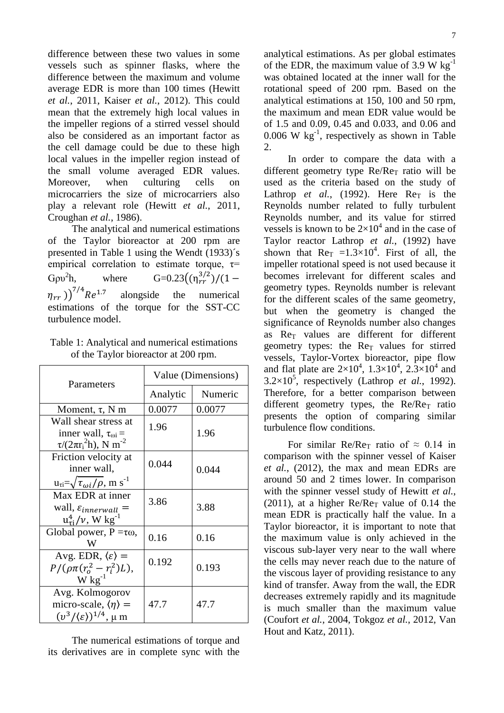difference between these two values in some vessels such as spinner flasks, where the difference between the maximum and volume average EDR is more than 100 times (Hewitt *et al.*, 2011, Kaiser *et al.*, 2012). This could mean that the extremely high local values in the impeller regions of a stirred vessel should also be considered as an important factor as the cell damage could be due to these high local values in the impeller region instead of the small volume averaged EDR values.<br>Moreover, when culturing cells on Moreover, when culturing cells on microcarriers the size of microcarriers also play a relevant role (Hewitt *et al.*, 2011, Croughan *et al.*, 1986).

The analytical and numerical estimations of the Taylor bioreactor at 200 rpm are presented in Table 1 using the Wendt (1933)´s empirical correlation to estimate torque,  $\tau$ =  $Gov<sup>2</sup>h$ . h, where  $G=0.23((\eta_{rr}^{3/2})$  $(\eta_{rr})^{7/4}R$ alongside the numerical estimations of the torque for the SST-CC turbulence model.

Table 1: Analytical and numerical estimations of the Taylor bioreactor at 200 rpm.

| Parameters                                                                                                      | Value (Dimensions) |         |  |
|-----------------------------------------------------------------------------------------------------------------|--------------------|---------|--|
|                                                                                                                 | Analytic           | Numeric |  |
| Moment, $\tau$ , N m                                                                                            | 0.0077             | 0.0077  |  |
| Wall shear stress at<br>inner wall, $\tau_{\omega i}$ =<br>$\tau/(2\pi r_i^2 h)$ , N m <sup>-2</sup>            | 1.96               | 1.96    |  |
| Friction velocity at<br>inner wall,<br>$u_{\tau i} = \sqrt{\tau_{\omega i}/\rho}$ , m s <sup>-1</sup>           | 0.044              | 0.044   |  |
| Max EDR at inner<br>wall, $\varepsilon_{innerwall}$ =<br>$u_{\tau i}^4 / \nu$ , W kg <sup>-1</sup>              | 3.86               | 3.88    |  |
| Global power, $P = \tau \omega$ ,<br>W                                                                          | 0.16               | 0.16    |  |
| Avg. EDR, $\langle \varepsilon \rangle$ =<br>$P/(\rho \pi (r_o^2 - r_i^2)L),$<br>$W$ kg <sup>-1</sup>           | 0.192              | 0.193   |  |
| Avg. Kolmogorov<br>micro-scale, $\langle \eta \rangle$ =<br>$(v^3/\langle \varepsilon \rangle)^{1/4}$ , $\mu$ m | 47.7               | 47.7    |  |

The numerical estimations of torque and its derivatives are in complete sync with the analytical estimations. As per global estimates of the EDR, the maximum value of 3.9 W  $kg^{-1}$ was obtained located at the inner wall for the rotational speed of 200 rpm. Based on the analytical estimations at 150, 100 and 50 rpm, the maximum and mean EDR value would be of 1.5 and 0.09, 0.45 and 0.033, and 0.06 and 0.006 W  $\text{kg}^{-1}$ , respectively as shown in Table 2.

In order to compare the data with a different geometry type  $Re/Re_T$  ratio will be used as the criteria based on the study of Lathrop *et al.*, (1992). Here  $Re<sub>T</sub>$  is the Reynolds number related to fully turbulent Reynolds number, and its value for stirred vessels is known to be  $2\times10^4$  and in the case of Taylor reactor Lathrop *et al.*, (1992) have shown that  $\text{Re}_T = 1.3 \times 10^4$ . First of all, the impeller rotational speed is not used because it becomes irrelevant for different scales and geometry types. Reynolds number is relevant for the different scales of the same geometry, but when the geometry is changed the significance of Reynolds number also changes as  $Re<sub>T</sub>$  values are different for different geometry types: the  $Re<sub>T</sub>$  values for stirred vessels, Taylor-Vortex bioreactor, pipe flow and flat plate are  $2\times10^4$ ,  $1.3\times10^4$ ,  $2.3\times10^4$  and  $3.2 \times 10^5$ , respectively (Lathrop *et al.*, 1992). Therefore, for a better comparison between different geometry types, the  $Re/Re_T$  ratio presents the option of comparing similar turbulence flow conditions.

For similar Re/Re<sub>T</sub> ratio of  $\approx 0.14$  in comparison with the spinner vessel of Kaiser *et al.*, (2012), the max and mean EDRs are around 50 and 2 times lower. In comparison with the spinner vessel study of Hewitt *et al.*, (2011), at a higher  $Re/Re_T$  value of 0.14 the mean EDR is practically half the value. In a Taylor bioreactor, it is important to note that the maximum value is only achieved in the viscous sub-layer very near to the wall where the cells may never reach due to the nature of the viscous layer of providing resistance to any kind of transfer. Away from the wall, the EDR decreases extremely rapidly and its magnitude is much smaller than the maximum value (Coufort *et al.*, 2004, Tokgoz *et al.*, 2012, Van Hout and Katz, 2011).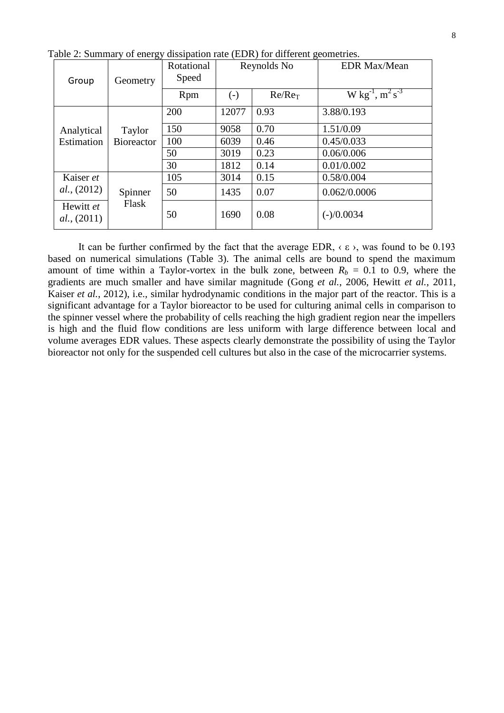| Group                    | Geometry                    | Rotational<br>Speed | Reynolds No  |           | <b>EDR Max/Mean</b>            |
|--------------------------|-----------------------------|---------------------|--------------|-----------|--------------------------------|
|                          |                             | Rpm                 | $(\text{-})$ | $Re/Re_T$ | W kg <sup>-1</sup> , $m^2 s^3$ |
| Analytical<br>Estimation | Taylor<br><b>Bioreactor</b> | 200                 | 12077        | 0.93      | 3.88/0.193                     |
|                          |                             | 150                 | 9058         | 0.70      | 1.51/0.09                      |
|                          |                             | 100                 | 6039         | 0.46      | 0.45/0.033                     |
|                          |                             | 50                  | 3019         | 0.23      | 0.06/0.006                     |
|                          |                             | 30                  | 1812         | 0.14      | 0.01/0.002                     |
| Kaiser et<br>al., (2012) |                             | 105                 | 3014         | 0.15      | 0.58/0.004                     |
|                          | Spinner<br>Flask            | 50                  | 1435         | 0.07      | 0.062/0.0006                   |
| Hewitt et<br>al., (2011) |                             | 50                  | 1690         | 0.08      | $(-)/0.0034$                   |

Table 2: Summary of energy dissipation rate (EDR) for different geometries.

It can be further confirmed by the fact that the average EDR,  $\langle \varepsilon \rangle$ , was found to be 0.193 based on numerical simulations (Table 3). The animal cells are bound to spend the maximum amount of time within a Taylor-vortex in the bulk zone, between  $R_b = 0.1$  to 0.9, where the gradients are much smaller and have similar magnitude (Gong *et al.*, 2006, Hewitt *et al.*, 2011, Kaiser *et al.*, 2012), i.e., similar hydrodynamic conditions in the major part of the reactor. This is a significant advantage for a Taylor bioreactor to be used for culturing animal cells in comparison to the spinner vessel where the probability of cells reaching the high gradient region near the impellers is high and the fluid flow conditions are less uniform with large difference between local and volume averages EDR values. These aspects clearly demonstrate the possibility of using the Taylor bioreactor not only for the suspended cell cultures but also in the case of the microcarrier systems.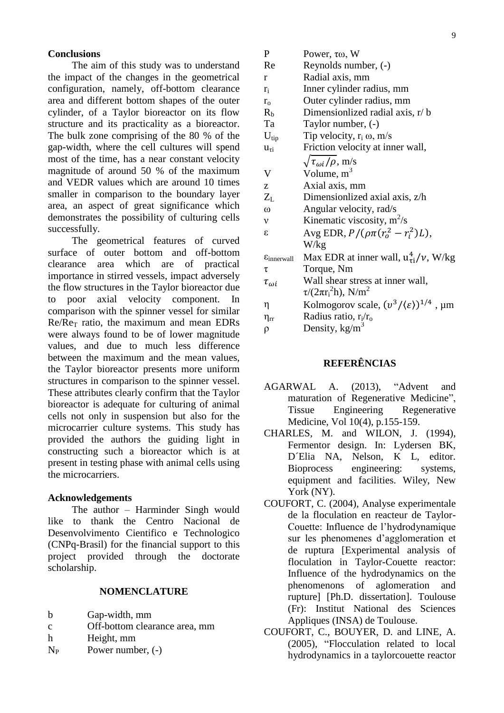#### **Conclusions**

The aim of this study was to understand the impact of the changes in the geometrical configuration, namely, off-bottom clearance area and different bottom shapes of the outer cylinder, of a Taylor bioreactor on its flow structure and its practicality as a bioreactor. The bulk zone comprising of the 80 % of the gap-width, where the cell cultures will spend most of the time, has a near constant velocity magnitude of around 50 % of the maximum and VEDR values which are around 10 times smaller in comparison to the boundary layer area, an aspect of great significance which demonstrates the possibility of culturing cells successfully.

The geometrical features of curved surface of outer bottom and off-bottom clearance area which are of practical importance in stirred vessels, impact adversely the flow structures in the Taylor bioreactor due to poor axial velocity component. In comparison with the spinner vessel for similar  $Re/Re<sub>T</sub>$  ratio, the maximum and mean EDRs were always found to be of lower magnitude values, and due to much less difference between the maximum and the mean values, the Taylor bioreactor presents more uniform structures in comparison to the spinner vessel. These attributes clearly confirm that the Taylor bioreactor is adequate for culturing of animal cells not only in suspension but also for the microcarrier culture systems. This study has provided the authors the guiding light in constructing such a bioreactor which is at present in testing phase with animal cells using the microcarriers.

#### **Acknowledgements**

The author – Harminder Singh would like to thank the Centro Nacional de Desenvolvimento Cientifico e Technologico (CNPq-Brasil) for the financial support to this project provided through the doctorate scholarship.

#### **NOMENCLATURE**

- b Gap-width, mm
- c Off-bottom clearance area, mm
- h Height, mm
- $N_P$  Power number,  $(-)$

| P                                  | Power, $\tau\omega$ , W                                          |
|------------------------------------|------------------------------------------------------------------|
| Re                                 | Reynolds number, (-)                                             |
| r                                  | Radial axis, mm                                                  |
| $r_i$                              | Inner cylinder radius, mm                                        |
| $r_{o}$                            | Outer cylinder radius, mm                                        |
| $R_b$                              | Dimensionlized radial axis, r/b                                  |
| Ta                                 | Taylor number, (-)                                               |
| $U_{tip}$                          | Tip velocity, $r_i \omega$ , m/s                                 |
| $u_{\tau i}$                       | Friction velocity at inner wall,                                 |
|                                    | $\sqrt{\tau_{\omega i}/\rho}$ , m/s                              |
| V                                  | Volume, $m^3$                                                    |
| Z                                  | Axial axis, mm                                                   |
| $Z_L$                              | Dimensionlized axial axis, z/h                                   |
| $\omega$                           | Angular velocity, rad/s                                          |
| ν                                  | Kinematic viscosity, $m^2/s$                                     |
| S                                  | Avg EDR, $P/(\rho \pi (r_o^2 - r_i^2)L)$ ,                       |
|                                    | W/kg                                                             |
| $\varepsilon$ <sub>innerwall</sub> | Max EDR at inner wall, $u_{\tau i}^4/\nu$ , W/kg                 |
| τ                                  | Torque, Nm                                                       |
| $\tau_{\omega i}$                  | Wall shear stress at inner wall,                                 |
|                                    | $\tau/(2\pi r_i^2 h)$ , N/m <sup>2</sup>                         |
| η                                  | Kolmogorov scale, $(v^3/\langle \varepsilon \rangle)^{1/4}$ , µm |

- $\eta_{rr}$  Radius ratio,  $r_i/r_o$
- $ρ$  Density, kg/m<sup>3</sup>

## **REFERÊNCIAS**

- AGARWAL A. (2013), "Advent and maturation of Regenerative Medicine", Tissue Engineering Regenerative Medicine, Vol 10(4), p.155-159.
- CHARLES, M. and WILON, J. (1994), Fermentor design. In: Lydersen BK, D´Elia NA, Nelson, K L, editor. Bioprocess engineering: systems, equipment and facilities. Wiley, New York (NY).
- COUFORT, C. (2004), Analyse experimentale de la floculation en reacteur de Taylor-Couette: Influence de l'hydrodynamique sur les phenomenes d'agglomeration et de ruptura [Experimental analysis of floculation in Taylor-Couette reactor: Influence of the hydrodynamics on the phenomenons of aglomeration and rupture] [Ph.D. dissertation]. Toulouse (Fr): Institut National des Sciences Appliques (INSA) de Toulouse.
- COUFORT, C., BOUYER, D. and LINE, A. (2005), "Flocculation related to local hydrodynamics in a taylorcouette reactor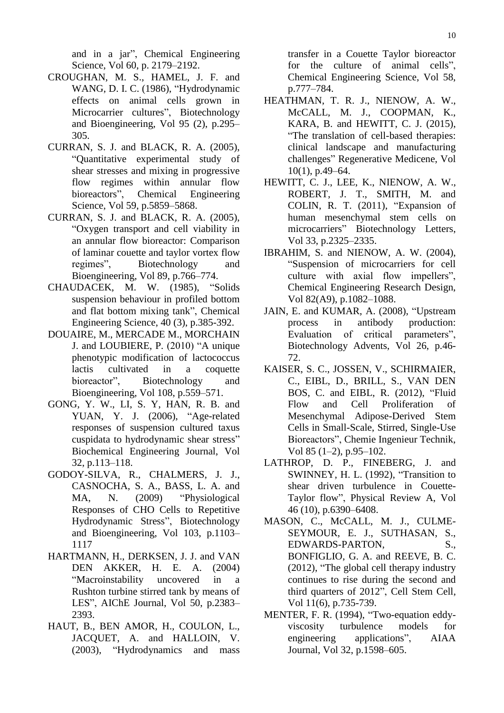and in a jar", Chemical Engineering Science, Vol 60, p. 2179–2192.

- CROUGHAN, M. S., HAMEL, J. F. and WANG, D. I. C. (1986), "Hydrodynamic effects on animal cells grown in Microcarrier cultures", Biotechnology and Bioengineering, Vol 95 (2), p.295– 305.
- CURRAN, S. J. and BLACK, R. A. (2005), "Quantitative experimental study of shear stresses and mixing in progressive flow regimes within annular flow bioreactors", Chemical Engineering Science, Vol 59, p.5859–5868.
- CURRAN, S. J. and BLACK, R. A. (2005), "Oxygen transport and cell viability in an annular flow bioreactor: Comparison of laminar couette and taylor vortex flow regimes", Biotechnology and Bioengineering, Vol 89, p.766–774.
- CHAUDACEK, M. W. (1985), "Solids suspension behaviour in profiled bottom and flat bottom mixing tank", Chemical Engineering Science, 40 (3), p.385-392.
- DOUAIRE, M., MERCADE M., MORCHAIN J. and LOUBIERE, P. (2010) "A unique phenotypic modification of lactococcus lactis cultivated in a coquette bioreactor", Biotechnology and Bioengineering, Vol 108, p.559–571.
- GONG, Y. W., LI, S. Y, HAN, R. B. and YUAN, Y. J. (2006), "Age-related responses of suspension cultured taxus cuspidata to hydrodynamic shear stress" Biochemical Engineering Journal, Vol 32, p.113–118.
- GODOY-SILVA, R., CHALMERS, J. J., CASNOCHA, S. A., BASS, L. A. and MA, N. (2009) "Physiological Responses of CHO Cells to Repetitive Hydrodynamic Stress", Biotechnology and Bioengineering, Vol 103, p.1103– 1117
- HARTMANN, H., DERKSEN, J. J. and VAN DEN AKKER, H. E. A. (2004) "Macroinstability uncovered in a Rushton turbine stirred tank by means of LES", AIChE Journal, Vol 50, p.2383– 2393.
- HAUT, B., BEN AMOR, H., COULON, L., JACQUET, A. and HALLOIN, V. (2003), "Hydrodynamics and mass

transfer in a Couette Taylor bioreactor for the culture of animal cells", Chemical Engineering Science, Vol 58, p.777–784.

- HEATHMAN, T. R. J., NIENOW, A. W., McCALL, M. J., COOPMAN, K., KARA, B. and HEWITT, C. J. (2015), "The translation of cell-based therapies: clinical landscape and manufacturing challenges" Regenerative Medicene, Vol 10(1), p.49–64.
- HEWITT, C. J., LEE, K., NIENOW, A. W., ROBERT, J. T., SMITH, M. and COLIN, R. T. (2011), "Expansion of human mesenchymal stem cells on microcarriers" Biotechnology Letters, Vol 33, p.2325–2335.
- IBRAHIM, S. and NIENOW, A. W. (2004), "Suspension of microcarriers for cell culture with axial flow impellers", Chemical Engineering Research Design, Vol 82(A9), p.1082–1088.
- JAIN, E. and KUMAR, A. (2008), "Upstream process in antibody production: Evaluation of critical parameters", Biotechnology Advents, Vol 26, p.46- 72.
- KAISER, S. C., JOSSEN, V., SCHIRMAIER, C., EIBL, D., BRILL, S., VAN DEN BOS, C. and EIBL, R. (2012), "Fluid Flow and Cell Proliferation of Mesenchymal Adipose-Derived Stem Cells in Small-Scale, Stirred, Single-Use Bioreactors", Chemie Ingenieur Technik, Vol 85 (1–2), p.95–102.
- LATHROP, D. P., FINEBERG, J. and SWINNEY, H. L. (1992), "Transition to shear driven turbulence in Couette-Taylor flow", Physical Review A, Vol 46 (10), p.6390–6408.
- MASON, C., McCALL, M. J., CULME-SEYMOUR, E. J., SUTHASAN, S., EDWARDS-PARTON, S., BONFIGLIO, G. A. and REEVE, B. C. (2012), "The global cell therapy industry continues to rise during the second and third quarters of 2012", Cell Stem Cell, Vol 11(6), p.735-739.
- MENTER, F. R. (1994), "Two-equation eddyviscosity turbulence models for engineering applications", AIAA Journal, Vol 32, p.1598–605.